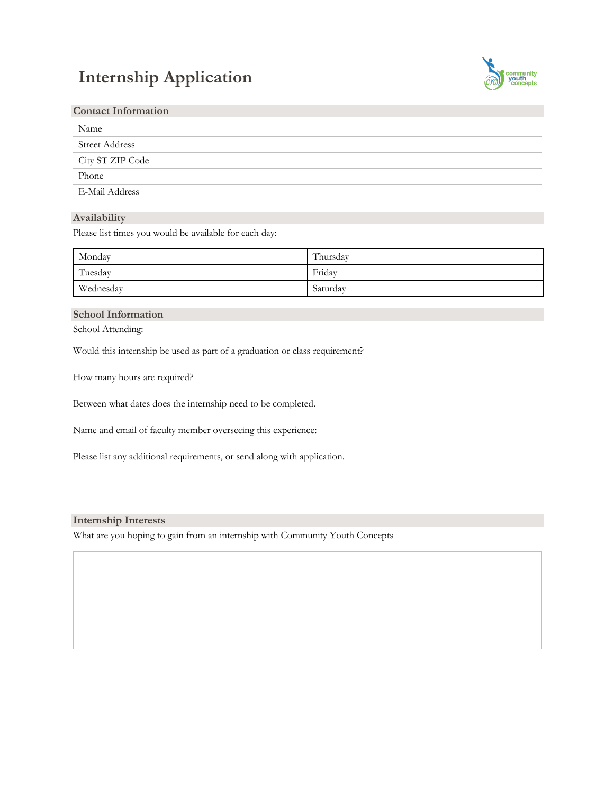# **Internship Application**



| <b>Contact Information</b> |  |
|----------------------------|--|
|                            |  |
|                            |  |
|                            |  |
|                            |  |
|                            |  |
|                            |  |

# **Availability**

Please list times you would be available for each day:

| Monday    | Thursday |
|-----------|----------|
| Tuesday   | Friday   |
| Wednesday | Saturday |

# **School Information**

School Attending:

Would this internship be used as part of a graduation or class requirement?

How many hours are required?

Between what dates does the internship need to be completed.

Name and email of faculty member overseeing this experience:

Please list any additional requirements, or send along with application.

#### **Internship Interests**

What are you hoping to gain from an internship with Community Youth Concepts